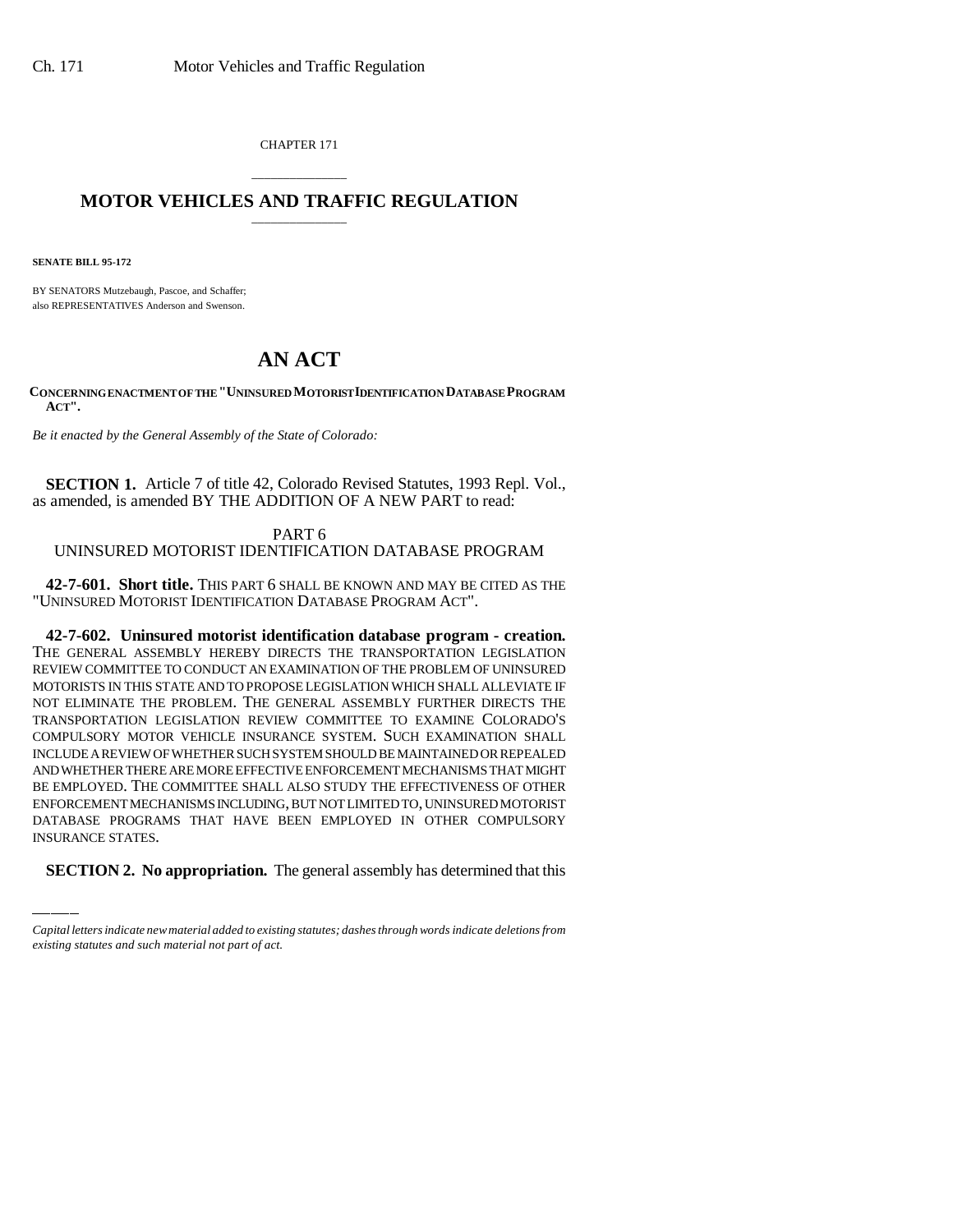CHAPTER 171

## \_\_\_\_\_\_\_\_\_\_\_\_\_\_\_ **MOTOR VEHICLES AND TRAFFIC REGULATION** \_\_\_\_\_\_\_\_\_\_\_\_\_\_\_

**SENATE BILL 95-172**

BY SENATORS Mutzebaugh, Pascoe, and Schaffer; also REPRESENTATIVES Anderson and Swenson.

## **AN ACT**

**CONCERNING ENACTMENT OF THE "UNINSURED MOTORIST IDENTIFICATION DATABASE PROGRAM ACT".**

*Be it enacted by the General Assembly of the State of Colorado:*

**SECTION 1.** Article 7 of title 42, Colorado Revised Statutes, 1993 Repl. Vol., as amended, is amended BY THE ADDITION OF A NEW PART to read:

PART 6 UNINSURED MOTORIST IDENTIFICATION DATABASE PROGRAM

**42-7-601. Short title.** THIS PART 6 SHALL BE KNOWN AND MAY BE CITED AS THE "UNINSURED MOTORIST IDENTIFICATION DATABASE PROGRAM ACT".

BE EMI EOTED. THE COMMITTEE SHALL ALSO STOD TTHE EFFECTIVENESS OF OTHER<br>ENFORCEMENT MECHANISMS INCLUDING, BUT NOT LIMITED TO, UNINSURED MOTORIST **42-7-602. Uninsured motorist identification database program - creation.** THE GENERAL ASSEMBLY HEREBY DIRECTS THE TRANSPORTATION LEGISLATION REVIEW COMMITTEE TO CONDUCT AN EXAMINATION OF THE PROBLEM OF UNINSURED MOTORISTS IN THIS STATE AND TO PROPOSE LEGISLATION WHICH SHALL ALLEVIATE IF NOT ELIMINATE THE PROBLEM. THE GENERAL ASSEMBLY FURTHER DIRECTS THE TRANSPORTATION LEGISLATION REVIEW COMMITTEE TO EXAMINE COLORADO'S COMPULSORY MOTOR VEHICLE INSURANCE SYSTEM. SUCH EXAMINATION SHALL INCLUDE A REVIEW OF WHETHER SUCH SYSTEM SHOULD BE MAINTAINED OR REPEALED AND WHETHER THERE ARE MORE EFFECTIVE ENFORCEMENT MECHANISMS THAT MIGHT BE EMPLOYED. THE COMMITTEE SHALL ALSO STUDY THE EFFECTIVENESS OF OTHER DATABASE PROGRAMS THAT HAVE BEEN EMPLOYED IN OTHER COMPULSORY INSURANCE STATES.

**SECTION 2. No appropriation.** The general assembly has determined that this

*Capital letters indicate new material added to existing statutes; dashes through words indicate deletions from existing statutes and such material not part of act.*